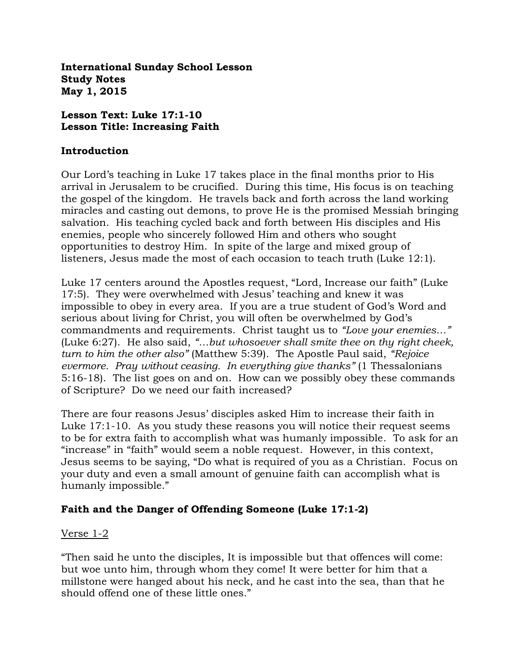**International Sunday School Lesson Study Notes May 1, 2015**

#### **Lesson Text: Luke 17:1-10 Lesson Title: Increasing Faith**

#### **Introduction**

Our Lord's teaching in Luke 17 takes place in the final months prior to His arrival in Jerusalem to be crucified. During this time, His focus is on teaching the gospel of the kingdom. He travels back and forth across the land working miracles and casting out demons, to prove He is the promised Messiah bringing salvation. His teaching cycled back and forth between His disciples and His enemies, people who sincerely followed Him and others who sought opportunities to destroy Him. In spite of the large and mixed group of listeners, Jesus made the most of each occasion to teach truth (Luke 12:1).

Luke 17 centers around the Apostles request, "Lord, Increase our faith" (Luke 17:5). They were overwhelmed with Jesus' teaching and knew it was impossible to obey in every area. If you are a true student of God's Word and serious about living for Christ, you will often be overwhelmed by God's commandments and requirements. Christ taught us to *"Love your enemies…"*  (Luke 6:27). He also said, *"…but whosoever shall smite thee on thy right cheek, turn to him the other also"* (Matthew 5:39). The Apostle Paul said, *"Rejoice evermore. Pray without ceasing. In everything give thanks"* (1 Thessalonians 5:16-18). The list goes on and on. How can we possibly obey these commands of Scripture? Do we need our faith increased?

There are four reasons Jesus' disciples asked Him to increase their faith in Luke 17:1-10. As you study these reasons you will notice their request seems to be for extra faith to accomplish what was humanly impossible. To ask for an "increase" in "faith" would seem a noble request. However, in this context, Jesus seems to be saying, "Do what is required of you as a Christian. Focus on your duty and even a small amount of genuine faith can accomplish what is humanly impossible."

# **Faith and the Danger of Offending Someone (Luke 17:1-2)**

#### Verse 1-2

"Then said he unto the disciples, It is impossible but that offences will come: but woe unto him, through whom they come! It were better for him that a millstone were hanged about his neck, and he cast into the sea, than that he should offend one of these little ones."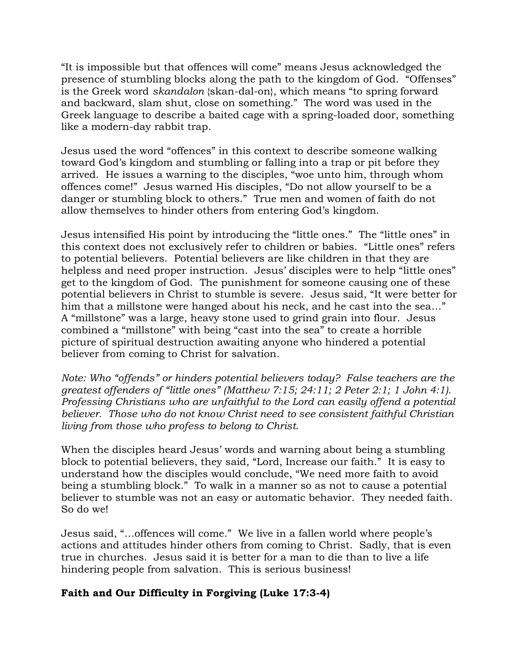"It is impossible but that offences will come" means Jesus acknowledged the presence of stumbling blocks along the path to the kingdom of God. "Offenses" is the Greek word *skandalon* {skan-dal-on}, which means "to spring forward and backward, slam shut, close on something." The word was used in the Greek language to describe a baited cage with a spring-loaded door, something like a modern-day rabbit trap.

Jesus used the word "offences" in this context to describe someone walking toward God's kingdom and stumbling or falling into a trap or pit before they arrived. He issues a warning to the disciples, "woe unto him, through whom offences come!" Jesus warned His disciples, "Do not allow yourself to be a danger or stumbling block to others." True men and women of faith do not allow themselves to hinder others from entering God's kingdom.

Jesus intensified His point by introducing the "little ones." The "little ones" in this context does not exclusively refer to children or babies. "Little ones" refers to potential believers. Potential believers are like children in that they are helpless and need proper instruction. Jesus' disciples were to help "little ones" get to the kingdom of God. The punishment for someone causing one of these potential believers in Christ to stumble is severe. Jesus said, "It were better for him that a millstone were hanged about his neck, and he cast into the sea…" A "millstone" was a large, heavy stone used to grind grain into flour. Jesus combined a "millstone" with being "cast into the sea" to create a horrible picture of spiritual destruction awaiting anyone who hindered a potential believer from coming to Christ for salvation.

*Note: Who "offends" or hinders potential believers today? False teachers are the greatest offenders of "little ones" (Matthew 7:15; 24:11; 2 Peter 2:1; 1 John 4:1). Professing Christians who are unfaithful to the Lord can easily offend a potential believer. Those who do not know Christ need to see consistent faithful Christian living from those who profess to belong to Christ.* 

When the disciples heard Jesus' words and warning about being a stumbling block to potential believers, they said, "Lord, Increase our faith." It is easy to understand how the disciples would conclude, "We need more faith to avoid being a stumbling block." To walk in a manner so as not to cause a potential believer to stumble was not an easy or automatic behavior. They needed faith. So do we!

Jesus said, "…offences will come." We live in a fallen world where people's actions and attitudes hinder others from coming to Christ. Sadly, that is even true in churches. Jesus said it is better for a man to die than to live a life hindering people from salvation. This is serious business!

# **Faith and Our Difficulty in Forgiving (Luke 17:3-4)**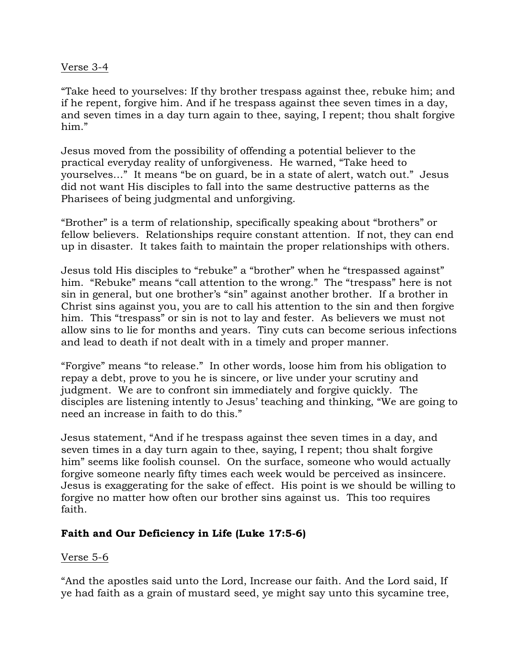### Verse 3-4

"Take heed to yourselves: If thy brother trespass against thee, rebuke him; and if he repent, forgive him. And if he trespass against thee seven times in a day, and seven times in a day turn again to thee, saying, I repent; thou shalt forgive him."

Jesus moved from the possibility of offending a potential believer to the practical everyday reality of unforgiveness. He warned, "Take heed to yourselves…" It means "be on guard, be in a state of alert, watch out." Jesus did not want His disciples to fall into the same destructive patterns as the Pharisees of being judgmental and unforgiving.

"Brother" is a term of relationship, specifically speaking about "brothers" or fellow believers. Relationships require constant attention. If not, they can end up in disaster. It takes faith to maintain the proper relationships with others.

Jesus told His disciples to "rebuke" a "brother" when he "trespassed against" him. "Rebuke" means "call attention to the wrong." The "trespass" here is not sin in general, but one brother's "sin" against another brother. If a brother in Christ sins against you, you are to call his attention to the sin and then forgive him. This "trespass" or sin is not to lay and fester. As believers we must not allow sins to lie for months and years. Tiny cuts can become serious infections and lead to death if not dealt with in a timely and proper manner.

"Forgive" means "to release." In other words, loose him from his obligation to repay a debt, prove to you he is sincere, or live under your scrutiny and judgment. We are to confront sin immediately and forgive quickly. The disciples are listening intently to Jesus' teaching and thinking, "We are going to need an increase in faith to do this."

Jesus statement, "And if he trespass against thee seven times in a day, and seven times in a day turn again to thee, saying, I repent; thou shalt forgive him" seems like foolish counsel. On the surface, someone who would actually forgive someone nearly fifty times each week would be perceived as insincere. Jesus is exaggerating for the sake of effect. His point is we should be willing to forgive no matter how often our brother sins against us. This too requires faith.

# **Faith and Our Deficiency in Life (Luke 17:5-6)**

# Verse 5-6

"And the apostles said unto the Lord, Increase our faith. And the Lord said, If ye had faith as a grain of mustard seed, ye might say unto this sycamine tree,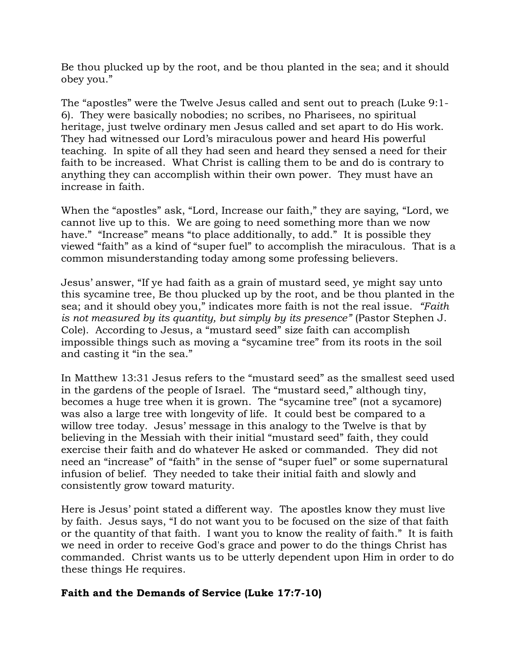Be thou plucked up by the root, and be thou planted in the sea; and it should obey you."

The "apostles" were the Twelve Jesus called and sent out to preach (Luke 9:1- 6). They were basically nobodies; no scribes, no Pharisees, no spiritual heritage, just twelve ordinary men Jesus called and set apart to do His work. They had witnessed our Lord's miraculous power and heard His powerful teaching. In spite of all they had seen and heard they sensed a need for their faith to be increased. What Christ is calling them to be and do is contrary to anything they can accomplish within their own power. They must have an increase in faith.

When the "apostles" ask, "Lord, Increase our faith," they are saying, "Lord, we cannot live up to this. We are going to need something more than we now have." "Increase" means "to place additionally, to add." It is possible they viewed "faith" as a kind of "super fuel" to accomplish the miraculous. That is a common misunderstanding today among some professing believers.

Jesus' answer, "If ye had faith as a grain of mustard seed, ye might say unto this sycamine tree, Be thou plucked up by the root, and be thou planted in the sea; and it should obey you," indicates more faith is not the real issue. *"Faith is not measured by its quantity, but simply by its presence"* (Pastor Stephen J. Cole). According to Jesus, a "mustard seed" size faith can accomplish impossible things such as moving a "sycamine tree" from its roots in the soil and casting it "in the sea."

In Matthew 13:31 Jesus refers to the "mustard seed" as the smallest seed used in the gardens of the people of Israel. The "mustard seed," although tiny, becomes a huge tree when it is grown. The "sycamine tree" (not a sycamore) was also a large tree with longevity of life. It could best be compared to a willow tree today. Jesus' message in this analogy to the Twelve is that by believing in the Messiah with their initial "mustard seed" faith, they could exercise their faith and do whatever He asked or commanded. They did not need an "increase" of "faith" in the sense of "super fuel" or some supernatural infusion of belief. They needed to take their initial faith and slowly and consistently grow toward maturity.

Here is Jesus' point stated a different way. The apostles know they must live by faith. Jesus says, "I do not want you to be focused on the size of that faith or the quantity of that faith. I want you to know the reality of faith." It is faith we need in order to receive God's grace and power to do the things Christ has commanded. Christ wants us to be utterly dependent upon Him in order to do these things He requires.

# **Faith and the Demands of Service (Luke 17:7-10)**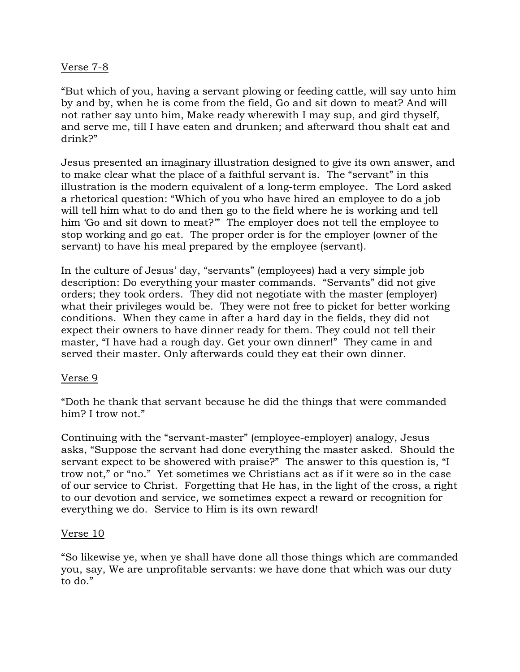### Verse 7-8

"But which of you, having a servant plowing or feeding cattle, will say unto him by and by, when he is come from the field, Go and sit down to meat? And will not rather say unto him, Make ready wherewith I may sup, and gird thyself, and serve me, till I have eaten and drunken; and afterward thou shalt eat and drink?"

Jesus presented an imaginary illustration designed to give its own answer, and to make clear what the place of a faithful servant is. The "servant" in this illustration is the modern equivalent of a long-term employee. The Lord asked a rhetorical question: "Which of you who have hired an employee to do a job will tell him what to do and then go to the field where he is working and tell him 'Go and sit down to meat?'" The employer does not tell the employee to stop working and go eat. The proper order is for the employer (owner of the servant) to have his meal prepared by the employee (servant).

In the culture of Jesus' day, "servants" (employees) had a very simple job description: Do everything your master commands. "Servants" did not give orders; they took orders. They did not negotiate with the master (employer) what their privileges would be. They were not free to picket for better working conditions. When they came in after a hard day in the fields, they did not expect their owners to have dinner ready for them. They could not tell their master, "I have had a rough day. Get your own dinner!" They came in and served their master. Only afterwards could they eat their own dinner.

#### Verse 9

"Doth he thank that servant because he did the things that were commanded him? I trow not."

Continuing with the "servant-master" (employee-employer) analogy, Jesus asks, "Suppose the servant had done everything the master asked. Should the servant expect to be showered with praise?" The answer to this question is, "I trow not," or "no." Yet sometimes we Christians act as if it were so in the case of our service to Christ. Forgetting that He has, in the light of the cross, a right to our devotion and service, we sometimes expect a reward or recognition for everything we do. Service to Him is its own reward!

#### Verse 10

"So likewise ye, when ye shall have done all those things which are commanded you, say, We are unprofitable servants: we have done that which was our duty to do."